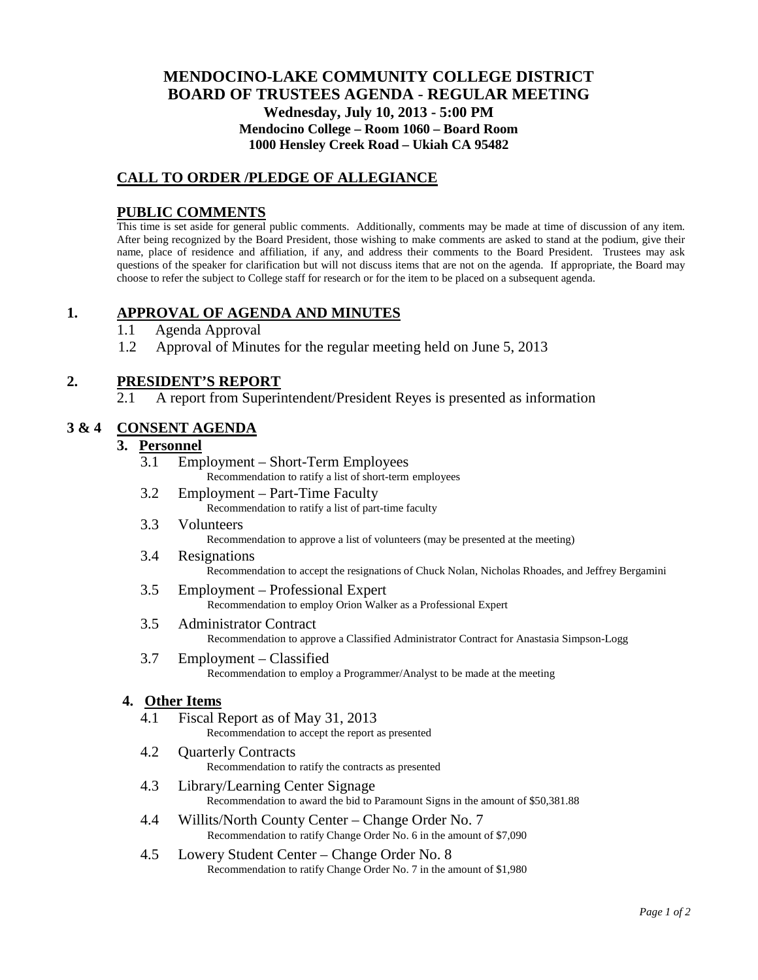# **MENDOCINO-LAKE COMMUNITY COLLEGE DISTRICT BOARD OF TRUSTEES AGENDA** - **REGULAR MEETING Wednesday, July 10, 2013 - 5:00 PM Mendocino College – Room 1060 – Board Room 1000 Hensley Creek Road – Ukiah CA 95482**

# **CALL TO ORDER /PLEDGE OF ALLEGIANCE**

#### **PUBLIC COMMENTS**

This time is set aside for general public comments. Additionally, comments may be made at time of discussion of any item. After being recognized by the Board President, those wishing to make comments are asked to stand at the podium, give their name, place of residence and affiliation, if any, and address their comments to the Board President. Trustees may ask questions of the speaker for clarification but will not discuss items that are not on the agenda. If appropriate, the Board may choose to refer the subject to College staff for research or for the item to be placed on a subsequent agenda.

## **1. APPROVAL OF AGENDA AND MINUTES**

- 1.1 Agenda Approval
- 1.2 Approval of Minutes for the regular meeting held on June 5, 2013

# **2. PRESIDENT'S REPORT**

2.1 A report from Superintendent/President Reyes is presented as information

## **3 & 4 CONSENT AGENDA**

# **3. Personnel**

- 3.1 Employment Short-Term Employees Recommendation to ratify a list of short-term employees
- 3.2 Employment Part-Time Faculty Recommendation to ratify a list of part-time faculty
- 3.3 Volunteers Recommendation to approve a list of volunteers (may be presented at the meeting)

# 3.4 Resignations

- Recommendation to accept the resignations of Chuck Nolan, Nicholas Rhoades, and Jeffrey Bergamini
- 3.5 Employment Professional Expert Recommendation to employ Orion Walker as a Professional Expert
- 3.5 Administrator Contract Recommendation to approve a Classified Administrator Contract for Anastasia Simpson-Logg
- 3.7 Employment Classified Recommendation to employ a Programmer/Analyst to be made at the meeting

#### **4. Other Items**

- 4.1 Fiscal Report as of May 31, 2013 Recommendation to accept the report as presented
- 4.2 Quarterly Contracts Recommendation to ratify the contracts as presented
- 4.3 Library/Learning Center Signage Recommendation to award the bid to Paramount Signs in the amount of \$50,381.88
- 4.4 Willits/North County Center Change Order No. 7 Recommendation to ratify Change Order No. 6 in the amount of \$7,090
- 4.5 Lowery Student Center Change Order No. 8 Recommendation to ratify Change Order No. 7 in the amount of \$1,980